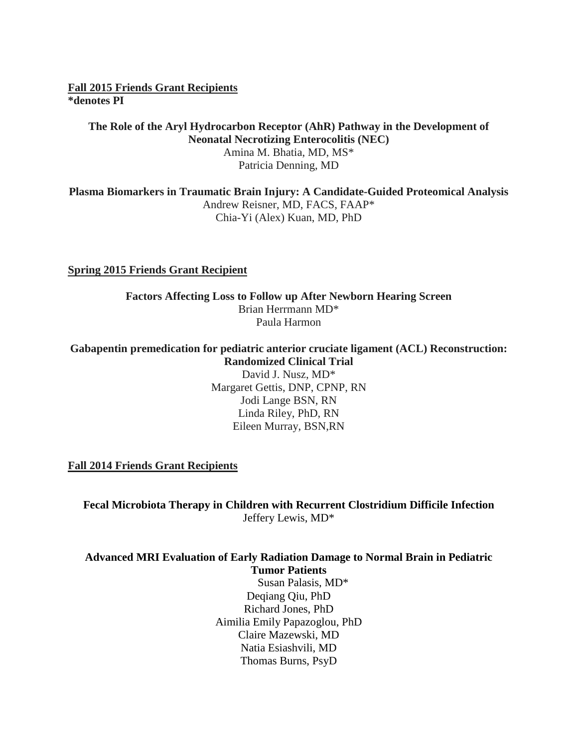**Fall 2015 Friends Grant Recipients \*denotes PI**

#### **The Role of the Aryl Hydrocarbon Receptor (AhR) Pathway in the Development of Neonatal Necrotizing Enterocolitis (NEC)** Amina M. Bhatia, MD, MS\* Patricia Denning, MD

**Plasma Biomarkers in Traumatic Brain Injury: A Candidate-Guided Proteomical Analysis** Andrew Reisner, MD, FACS, FAAP\* Chia-Yi (Alex) Kuan, MD, PhD

#### **Spring 2015 Friends Grant Recipient**

#### **Factors Affecting Loss to Follow up After Newborn Hearing Screen** Brian Herrmann MD\* Paula Harmon

#### **Gabapentin premedication for pediatric anterior cruciate ligament (ACL) Reconstruction: Randomized Clinical Trial**

David J. Nusz, MD\* Margaret Gettis, DNP, CPNP, RN Jodi Lange BSN, RN Linda Riley, PhD, RN Eileen Murray, BSN,RN

**Fall 2014 Friends Grant Recipients**

**Fecal Microbiota Therapy in Children with Recurrent Clostridium Difficile Infection** Jeffery Lewis, MD\*

# **Advanced MRI Evaluation of Early Radiation Damage to Normal Brain in Pediatric Tumor Patients**

 Susan Palasis, MD\* Deqiang Qiu, PhD Richard Jones, PhD Aimilia Emily Papazoglou, PhD Claire Mazewski, MD Natia Esiashvili, MD Thomas Burns, PsyD